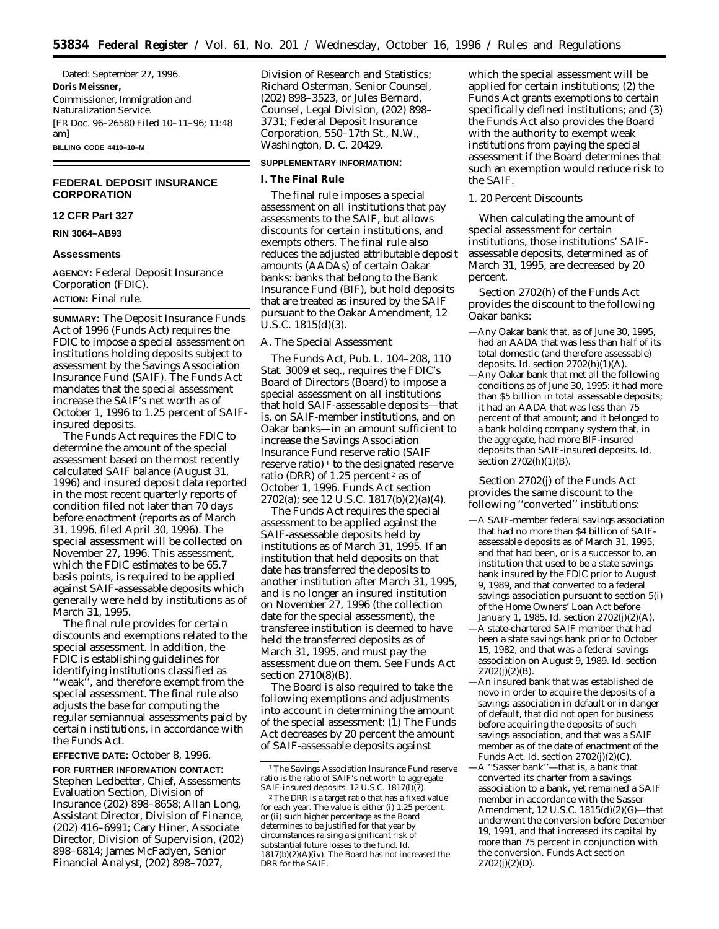Dated: September 27, 1996. **Doris Meissner,** *Commissioner, Immigration and Naturalization Service.* [FR Doc. 96–26580 Filed 10–11–96; 11:48 am] **BILLING CODE 4410–10–M**

# **FEDERAL DEPOSIT INSURANCE CORPORATION**

## **12 CFR Part 327**

**RIN 3064–AB93**

## **Assessments**

**AGENCY:** Federal Deposit Insurance Corporation (FDIC). **ACTION:** Final rule.

**SUMMARY:** The Deposit Insurance Funds Act of 1996 (Funds Act) requires the FDIC to impose a special assessment on institutions holding deposits subject to assessment by the Savings Association Insurance Fund (SAIF). The Funds Act mandates that the special assessment increase the SAIF's net worth as of October 1, 1996 to 1.25 percent of SAIFinsured deposits.

The Funds Act requires the FDIC to determine the amount of the special assessment based on the most recently calculated SAIF balance (August 31, 1996) and insured deposit data reported in the most recent quarterly reports of condition filed not later than 70 days before enactment (reports as of March 31, 1996, filed April 30, 1996). The special assessment will be collected on November 27, 1996. This assessment, which the FDIC estimates to be 65.7 basis points, is required to be applied against SAIF-assessable deposits which generally were held by institutions as of March 31, 1995.

The final rule provides for certain discounts and exemptions related to the special assessment. In addition, the FDIC is establishing guidelines for identifying institutions classified as ''weak'', and therefore exempt from the special assessment. The final rule also adjusts the base for computing the regular semiannual assessments paid by certain institutions, in accordance with the Funds Act.

**EFFECTIVE DATE:** October 8, 1996.

**FOR FURTHER INFORMATION CONTACT:** Stephen Ledbetter, Chief, Assessments Evaluation Section, Division of Insurance (202) 898–8658; Allan Long, Assistant Director, Division of Finance, (202) 416–6991; Cary Hiner, Associate Director, Division of Supervision, (202) 898–6814; James McFadyen, Senior Financial Analyst, (202) 898–7027,

Division of Research and Statistics; Richard Osterman, Senior Counsel, (202) 898–3523, or Jules Bernard, Counsel, Legal Division, (202) 898– 3731; Federal Deposit Insurance Corporation, 550–17th St., N.W., Washington, D. C. 20429.

## **SUPPLEMENTARY INFORMATION:**

# **I. The Final Rule**

The final rule imposes a special assessment on all institutions that pay assessments to the SAIF, but allows discounts for certain institutions, and exempts others. The final rule also reduces the adjusted attributable deposit amounts (AADAs) of certain Oakar banks: banks that belong to the Bank Insurance Fund (BIF), but hold deposits that are treated as insured by the SAIF pursuant to the Oakar Amendment, 12 U.S.C. 1815(d)(3).

## *A. The Special Assessment*

The Funds Act, Pub. L. 104–208, 110 Stat. 3009 et seq., requires the FDIC's Board of Directors (Board) to impose a special assessment on all institutions that hold SAIF-assessable deposits—that is, on SAIF-member institutions, and on Oakar banks—in an amount sufficient to increase the Savings Association Insurance Fund reserve ratio (SAIF reserve ratio)<sup> $1$ </sup> to the designated reserve ratio (DRR) of 1.25 percent 2 as of October 1, 1996. Funds Act section 2702(a); *see* 12 U.S.C. 1817(b)(2)(a)(4).

The Funds Act requires the special assessment to be applied against the SAIF-assessable deposits held by institutions as of March 31, 1995. If an institution that held deposits on that date has transferred the deposits to another institution after March 31, 1995, and is no longer an insured institution on November 27, 1996 (the collection date for the special assessment), the transferee institution is deemed to have held the transferred deposits as of March 31, 1995, and must pay the assessment due on them. *See* Funds Act section 2710(8)(B).

The Board is also required to take the following exemptions and adjustments into account in determining the amount of the special assessment: (1) The Funds Act decreases by 20 percent the amount of SAIF-assessable deposits against

which the special assessment will be applied for certain institutions; (2) the Funds Act grants exemptions to certain specifically defined institutions; and (3) the Funds Act also provides the Board with the authority to exempt weak institutions from paying the special assessment if the Board determines that such an exemption would reduce risk to the SAIF.

# 1. 20 Percent Discounts

When calculating the amount of special assessment for certain institutions, those institutions' SAIFassessable deposits, determined as of March 31, 1995, are decreased by 20 percent.

Section 2702(h) of the Funds Act provides the discount to the following Oakar banks:

- —Any Oakar bank that, as of June 30, 1995, had an AADA that was less than half of its total domestic (and therefore assessable) deposits. *Id.* section 2702(h)(1)(A).
- —Any Oakar bank that met all the following conditions as of June 30, 1995: it had more than \$5 billion in total assessable deposits; it had an AADA that was less than 75 percent of that amount; and it belonged to a bank holding company system that, in the aggregate, had more BIF-insured deposits than SAIF-insured deposits. *Id.* section 2702(h)(1)(B).

Section 2702(j) of the Funds Act provides the same discount to the following ''converted'' institutions:

- —A SAIF-member federal savings association that had no more than \$4 billion of SAIFassessable deposits as of March 31, 1995, and that had been, or is a successor to, an institution that used to be a state savings bank insured by the FDIC prior to August 9, 1989, and that converted to a federal savings association pursuant to section 5(*i*) of the Home Owners' Loan Act before January 1, 1985. *Id.* section 2702(j)(2)(A).
- —A state-chartered SAIF member that had been a state savings bank prior to October 15, 1982, and that was a federal savings association on August 9, 1989. *Id.* section  $2702(j)(2)(B)$ .
- —An insured bank that was established *de novo* in order to acquire the deposits of a savings association in default or in danger of default, that did not open for business before acquiring the deposits of such savings association, and that was a SAIF member as of the date of enactment of the Funds Act. *Id.* section 2702(j)(2)(C).
- —A ''Sasser bank''—that is, a bank that converted its charter from a savings association to a bank, yet remained a SAIF member in accordance with the Sasser Amendment, 12 U.S.C. 1815(d)(2)(G)—that underwent the conversion before December 19, 1991, and that increased its capital by more than 75 percent in conjunction with the conversion. Funds Act section  $2702(j)(2)(D)$ .

<sup>1</sup>The Savings Association Insurance Fund reserve ratio is the ratio of SAIF's net worth to aggregate SAIF-insured deposits. 12 U.S.C. 1817(l)(7).

<sup>2</sup>The DRR is a target ratio that has a fixed value for each year. The value is either (i) 1.25 percent, or (ii) such higher percentage as the Board determines to be justified for that year by circumstances raising a significant risk of substantial future losses to the fund. *Id.* 1817(b)(2)(A)(iv). The Board has not increased the DRR for the SAIF.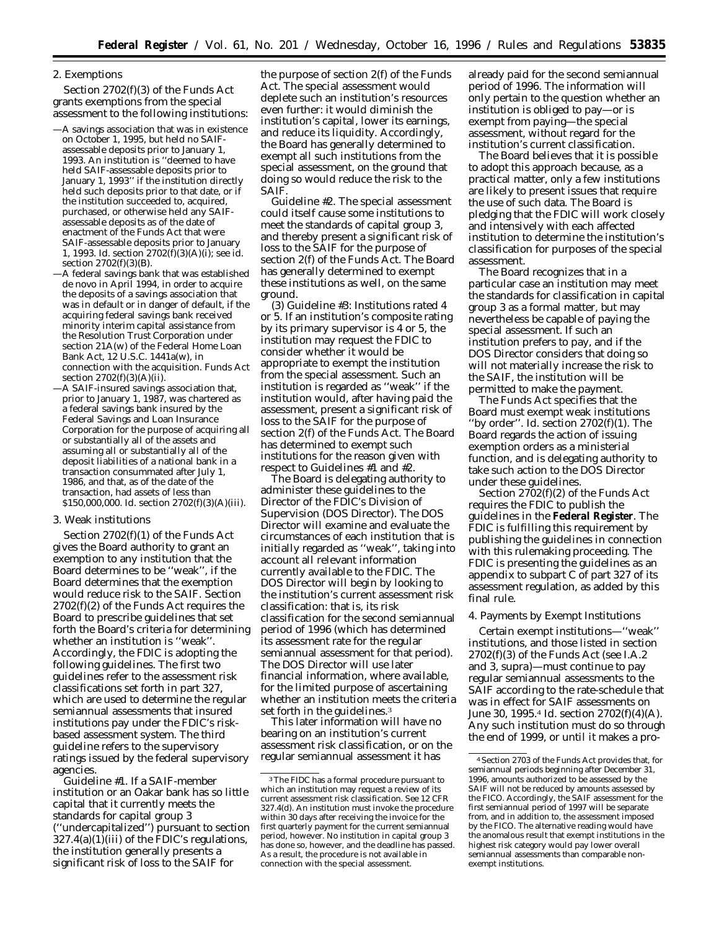# 2. Exemptions

Section 2702(f)(3) of the Funds Act grants exemptions from the special assessment to the following institutions:

- —A savings association that was in existence on October 1, 1995, but held no SAIFassessable deposits prior to January 1, 1993. An institution is ''deemed to have held SAIF-assessable deposits prior to January 1, 1993'' if the institution directly held such deposits prior to that date, or if the institution succeeded to, acquired, purchased, or otherwise held any SAIFassessable deposits as of the date of enactment of the Funds Act that were SAIF-assessable deposits prior to January 1, 1993. *Id.* section 2702(f)(3)(A)(i); *see id.* section 2702(f)(3)(B).
- —A federal savings bank that was established *de novo* in April 1994, in order to acquire the deposits of a savings association that was in default or in danger of default, if the acquiring federal savings bank received minority interim capital assistance from the Resolution Trust Corporation under section 21A(w) of the Federal Home Loan Bank Act, 12 U.S.C. 1441a(w), in connection with the acquisition. Funds Act section 2702(f)(3)(A)(ii).
- —A SAIF-insured savings association that, prior to January 1, 1987, was chartered as a federal savings bank insured by the Federal Savings and Loan Insurance Corporation for the purpose of acquiring all or substantially all of the assets and assuming all or substantially all of the deposit liabilities of a national bank in a transaction consummated after July 1, 1986, and that, as of the date of the transaction, had assets of less than \$150,000,000. *Id.* section 2702(f)(3)(A)(iii).

## 3. Weak institutions

Section 2702(f)(1) of the Funds Act gives the Board authority to grant an exemption to any institution that the Board determines to be ''weak'', if the Board determines that the exemption would reduce risk to the SAIF. Section 2702(f)(2) of the Funds Act requires the Board to prescribe guidelines that set forth the Board's criteria for determining whether an institution is ''weak''. Accordingly, the FDIC is adopting the following guidelines. The first two guidelines refer to the assessment risk classifications set forth in part 327, which are used to determine the regular semiannual assessments that insured institutions pay under the FDIC's riskbased assessment system. The third guideline refers to the supervisory ratings issued by the federal supervisory agencies.

*Guideline* #*1.* If a SAIF-member institution or an Oakar bank has so little capital that it currently meets the standards for capital group 3 (''undercapitalized'') pursuant to section  $327.4(a)(1)$ (iii) of the FDIC's regulations, the institution generally presents a significant risk of loss to the SAIF for

the purpose of section 2(f) of the Funds Act. The special assessment would deplete such an institution's resources even further: it would diminish the institution's capital, lower its earnings, and reduce its liquidity. Accordingly, the Board has generally determined to exempt all such institutions from the special assessment, on the ground that doing so would reduce the risk to the SAIF.

*Guideline* #*2.* The special assessment could itself cause some institutions to meet the standards of capital group 3, and thereby present a significant risk of loss to the SAIF for the purpose of section 2(f) of the Funds Act. The Board has generally determined to exempt these institutions as well, on the same ground.

(3) *Guideline* #*3: Institutions rated 4 or 5.* If an institution's composite rating by its primary supervisor is 4 or 5, the institution may request the FDIC to consider whether it would be appropriate to exempt the institution from the special assessment. Such an institution is regarded as ''weak'' if the institution would, after having paid the assessment, present a significant risk of loss to the SAIF for the purpose of section 2(f) of the Funds Act. The Board has determined to exempt such institutions for the reason given with respect to Guidelines #1 and #2.

The Board is delegating authority to administer these guidelines to the Director of the FDIC's Division of Supervision (DOS Director). The DOS Director will examine and evaluate the circumstances of each institution that is initially regarded as ''weak'', taking into account all relevant information currently available to the FDIC. The DOS Director will begin by looking to the institution's current assessment risk classification: that is, its risk classification for the second semiannual period of 1996 (which has determined its assessment rate for the regular semiannual assessment for that period). The DOS Director will use later financial information, where available, for the limited purpose of ascertaining whether an institution meets the criteria set forth in the guidelines.<sup>3</sup>

This later information will have no bearing on an institution's current assessment risk classification, or on the regular semiannual assessment it has

already paid for the second semiannual period of 1996. The information will only pertain to the question whether an institution is obliged to pay—or is exempt from paying—the special assessment, without regard for the institution's current classification.

The Board believes that it is possible to adopt this approach because, as a practical matter, only a few institutions are likely to present issues that require the use of such data. The Board is pledging that the FDIC will work closely and intensively with each affected institution to determine the institution's classification for purposes of the special assessment.

The Board recognizes that in a particular case an institution may meet the standards for classification in capital group 3 as a formal matter, but may nevertheless be capable of paying the special assessment. If such an institution prefers to pay, and if the DOS Director considers that doing so will not materially increase the risk to the SAIF, the institution will be permitted to make the payment.

The Funds Act specifies that the Board must exempt weak institutions ''by order''. *Id.* section 2702(f)(1). The Board regards the action of issuing exemption orders as a ministerial function, and is delegating authority to take such action to the DOS Director under these guidelines.

Section 2702(f)(2) of the Funds Act requires the FDIC to publish the guidelines in the **Federal Register**. The FDIC is fulfilling this requirement by publishing the guidelines in connection with this rulemaking proceeding. The FDIC is presenting the guidelines as an appendix to subpart C of part 327 of its assessment regulation, as added by this final rule.

#### 4. Payments by Exempt Institutions

Certain exempt institutions—''weak'' institutions, and those listed in section  $2702(f)(3)$  of the Funds Act (see I.A.2) and 3, *supra*)—must continue to pay regular semiannual assessments to the SAIF according to the rate-schedule that was in effect for SAIF assessments on June 30, 1995.4 *Id*. section 2702(f)(4)(A). Any such institution must do so through the end of 1999, or until it makes a pro-

<sup>3</sup>The FIDC has a formal procedure pursuant to which an institution may request a review of its current assessment risk classification. See 12 CFR 327.4(d). An institution must invoke the procedure within 30 days after receiving the invoice for the first quarterly payment for the current semiannual period, however. No institution in capital group 3 has done so, however, and the deadline has passed. As a result, the procedure is not available in connection with the special assessment.

<sup>4</sup>Section 2703 of the Funds Act provides that, for semiannual periods beginning after December 31, 1996, amounts authorized to be assessed by the SAIF will not be reduced by amounts assessed by the FICO. Accordingly, the SAIF assessment for the first semiannual period of 1997 will be separate from, and in addition to, the assessment imposed by the FICO. The alternative reading would have the anomalous result that exempt institutions in the highest risk category would pay lower overall semiannual assessments than comparable nonexempt institutions.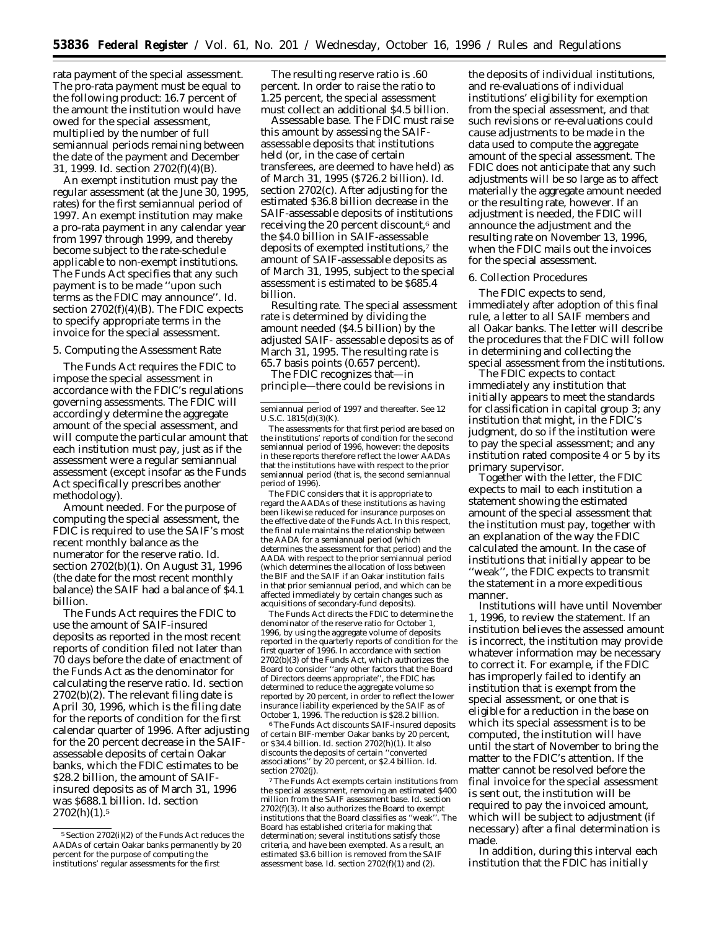rata payment of the special assessment. The pro-rata payment must be equal to the following product: 16.7 percent of the amount the institution would have owed for the special assessment, multiplied by the number of full semiannual periods remaining between the date of the payment and December 31, 1999. *Id*. section 2702(f)(4)(B).

An exempt institution must pay the regular assessment (at the June 30, 1995, rates) for the first semiannual period of 1997. An exempt institution may make a pro-rata payment in any calendar year from 1997 through 1999, and thereby become subject to the rate-schedule applicable to non-exempt institutions. The Funds Act specifies that any such payment is to be made ''upon such terms as the FDIC may announce''. *Id*. section 2702(f)(4)(B). The FDIC expects to specify appropriate terms in the invoice for the special assessment.

#### 5. Computing the Assessment Rate

The Funds Act requires the FDIC to impose the special assessment in accordance with the FDIC's regulations governing assessments. The FDIC will accordingly determine the aggregate amount of the special assessment, and will compute the particular amount that each institution must pay, just as if the assessment were a regular semiannual assessment (except insofar as the Funds Act specifically prescribes another methodology).

*Amount needed.* For the purpose of computing the special assessment, the FDIC is required to use the SAIF's most recent monthly balance as the numerator for the reserve ratio. *Id*. section 2702(b)(1). On August 31, 1996 (the date for the most recent monthly balance) the SAIF had a balance of \$4.1 billion.

The Funds Act requires the FDIC to use the amount of SAIF-insured deposits as reported in the most recent reports of condition filed not later than 70 days before the date of enactment of the Funds Act as the denominator for calculating the reserve ratio. *Id*. section 2702(b)(2). The relevant filing date is April 30, 1996, which is the filing date for the reports of condition for the first calendar quarter of 1996. After adjusting for the 20 percent decrease in the SAIFassessable deposits of certain Oakar banks, which the FDIC estimates to be \$28.2 billion, the amount of SAIFinsured deposits as of March 31, 1996 was \$688.1 billion. *Id*. section  $2702(h)(1).5$ 

The resulting reserve ratio is .60 percent. In order to raise the ratio to 1.25 percent, the special assessment must collect an additional \$4.5 billion.

*Assessable base.* The FDIC must raise this amount by assessing the SAIFassessable deposits that institutions held (or, in the case of certain transferees, are deemed to have held) as of March 31, 1995 (\$726.2 billion). *Id*. section 2702(c). After adjusting for the estimated \$36.8 billion decrease in the SAIF-assessable deposits of institutions receiving the 20 percent discount,<sup>6</sup> and the \$4.0 billion in SAIF-assessable deposits of exempted institutions,7 the amount of SAIF-assessable deposits as of March 31, 1995, subject to the special assessment is estimated to be \$685.4 billion.

*Resulting rate.* The special assessment rate is determined by dividing the amount needed (\$4.5 billion) by the adjusted SAIF- assessable deposits as of March 31, 1995. The resulting rate is 65.7 basis points (0.657 percent).

The FDIC recognizes that—in principle—there could be revisions in

The FDIC considers that it is appropriate to regard the AADAs of these institutions as having been likewise reduced for insurance purposes on the effective date of the Funds Act. In this respect, the final rule maintains the relationship between the AADA *for* a semiannual period (which determines the assessment for that period) and the AADA *with respect to* the prior semiannual period (which determines the allocation of loss between the BIF and the SAIF if an Oakar institution fails in that prior semiannual period, and which can be affected immediately by certain changes such as acquisitions of secondary-fund deposits).

The Funds Act directs the FDIC to determine the denominator of the reserve ratio for October 1, 1996, by using the aggregate volume of deposits reported in the quarterly reports of condition for the first quarter of 1996. In accordance with section  $2702(b)(3)$  of the Funds Act, which authorizes the Board to consider ''any other factors that the Board of Directors deems appropriate'', the FDIC has determined to reduce the aggregate volume so reported by 20 percent, in order to reflect the lower insurance liability experienced by the SAIF as of October 1, 1996. The reduction is \$28.2 billion.

6The Funds Act discounts SAIF-insured deposits of certain BIF-member Oakar banks by 20 percent, or \$34.4 billion. *Id.* section 2702(h)(1). It also discounts the deposits of certain ''converted associations'' by 20 percent, or \$2.4 billion. *Id.* section 2702(j).

7The Funds Act exempts certain institutions from the special assessment, removing an estimated \$400 million from the SAIF assessment base. *Id.* section  $2702(f)(3)$ . It also authorizes the Board to exempt institutions that the Board classifies as "weak". The institutions that the Board classifies as "weak" Board has established criteria for making that determination; several institutions satisfy those criteria, and have been exempted. As a result, an estimated \$3.6 billion is removed from the SAIF assessment base. *Id.* section 2702(f)(1) and (2).

the deposits of individual institutions, and re-evaluations of individual institutions' eligibility for exemption from the special assessment, and that such revisions or re-evaluations could cause adjustments to be made in the data used to compute the aggregate amount of the special assessment. The FDIC does not anticipate that any such adjustments will be so large as to affect materially the aggregate amount needed or the resulting rate, however. If an adjustment is needed, the FDIC will announce the adjustment and the resulting rate on November 13, 1996, when the FDIC mails out the invoices for the special assessment.

## 6. Collection Procedures

The FDIC expects to send, immediately after adoption of this final rule, a letter to all SAIF members and all Oakar banks. The letter will describe the procedures that the FDIC will follow in determining and collecting the special assessment from the institutions.

The FDIC expects to contact immediately any institution that initially appears to meet the standards for classification in capital group 3; any institution that might, in the FDIC's judgment, do so if the institution were to pay the special assessment; and any institution rated composite 4 or 5 by its primary supervisor.

Together with the letter, the FDIC expects to mail to each institution a statement showing the estimated amount of the special assessment that the institution must pay, together with an explanation of the way the FDIC calculated the amount. In the case of institutions that initially appear to be ''weak'', the FDIC expects to transmit the statement in a more expeditious manner.

Institutions will have until November 1, 1996, to review the statement. If an institution believes the assessed amount is incorrect, the institution may provide whatever information may be necessary to correct it. For example, if the FDIC has improperly failed to identify an institution that is exempt from the special assessment, or one that is eligible for a reduction in the base on which its special assessment is to be computed, the institution will have until the start of November to bring the matter to the FDIC's attention. If the matter cannot be resolved before the final invoice for the special assessment is sent out, the institution will be required to pay the invoiced amount, which will be subject to adjustment (if necessary) after a final determination is made.

In addition, during this interval each institution that the FDIC has initially

<sup>5</sup>Section 2702(i)(2) of the Funds Act reduces the AADAs of certain Oakar banks permanently by 20 percent for the purpose of computing the institutions' regular assessments for the first

semiannual period of 1997 and thereafter. *See* 12 U.S.C. 1815(d)(3)(K).

The assessments for that first period are based on the institutions' reports of condition for the second semiannual period of 1996, however: the deposits in these reports therefore reflect the lower AADAs that the institutions have with respect to the prior semiannual period (that is, the second semiannual period of 1996).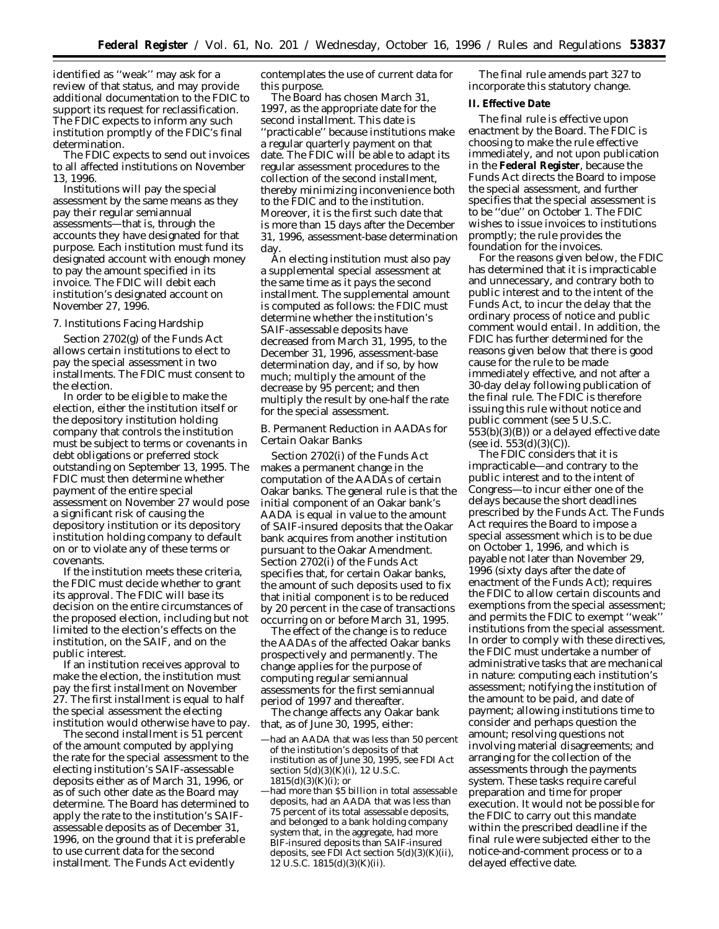identified as ''weak'' may ask for a review of that status, and may provide additional documentation to the FDIC to support its request for reclassification. The FDIC expects to inform any such institution promptly of the FDIC's final determination.

The FDIC expects to send out invoices to all affected institutions on November 13, 1996.

Institutions will pay the special assessment by the same means as they pay their regular semiannual assessments—that is, through the accounts they have designated for that purpose. Each institution must fund its designated account with enough money to pay the amount specified in its invoice. The FDIC will debit each institution's designated account on November 27, 1996.

#### 7. Institutions Facing Hardship

Section 2702(g) of the Funds Act allows certain institutions to elect to pay the special assessment in two installments. The FDIC must consent to the election.

In order to be eligible to make the election, either the institution itself or the depository institution holding company that controls the institution must be subject to terms or covenants in debt obligations or preferred stock outstanding on September 13, 1995. The FDIC must then determine whether payment of the entire special assessment on November 27 would pose a significant risk of causing the depository institution or its depository institution holding company to default on or to violate any of these terms or covenants.

If the institution meets these criteria, the FDIC must decide whether to grant its approval. The FDIC will base its decision on the entire circumstances of the proposed election, including but not limited to the election's effects on the institution, on the SAIF, and on the public interest.

If an institution receives approval to make the election, the institution must pay the first installment on November 27. The first installment is equal to half the special assessment the electing institution would otherwise have to pay.

The second installment is 51 percent of the amount computed by applying the rate for the special assessment to the electing institution's SAIF-assessable deposits either as of March 31, 1996, or as of such other date as the Board may determine. The Board has determined to apply the rate to the institution's SAIFassessable deposits as of December 31, 1996, on the ground that it is preferable to use current data for the second installment. The Funds Act evidently

contemplates the use of current data for this purpose.

The Board has chosen March 31, 1997, as the appropriate date for the second installment. This date is ''practicable'' because institutions make a regular quarterly payment on that date. The FDIC will be able to adapt its regular assessment procedures to the collection of the second installment, thereby minimizing inconvenience both to the FDIC and to the institution. Moreover, it is the first such date that is more than 15 days after the December 31, 1996, assessment-base determination day.

An electing institution must also pay a supplemental special assessment at the same time as it pays the second installment. The supplemental amount is computed as follows: the FDIC must determine whether the institution's SAIF-assessable deposits have decreased from March 31, 1995, to the December 31, 1996, assessment-base determination day, and if so, by how much; multiply the amount of the decrease by 95 percent; and then multiply the result by one-half the rate for the special assessment.

## *B. Permanent Reduction in AADAs for Certain Oakar Banks*

Section 2702(*i*) of the Funds Act makes a permanent change in the computation of the AADAs of certain Oakar banks. The general rule is that the initial component of an Oakar bank's AADA is equal in value to the amount of SAIF-insured deposits that the Oakar bank acquires from another institution pursuant to the Oakar Amendment. Section 2702(*i*) of the Funds Act specifies that, for certain Oakar banks, the amount of such deposits used to fix that initial component is to be reduced by 20 percent in the case of transactions occurring on or before March 31, 1995.

The effect of the change is to reduce the AADAs of the affected Oakar banks prospectively and permanently. The change applies for the purpose of computing regular semiannual assessments for the first semiannual period of 1997 and thereafter.

The change affects any Oakar bank that, as of June 30, 1995, either:

—had more than \$5 billion in total assessable deposits, had an AADA that was less than 75 percent of its total assessable deposits, and belonged to a bank holding company system that, in the aggregate, had more BIF-insured deposits than SAIF-insured deposits, *see* FDI Act section 5(d)(3)(K)(ii),  $12$  U.S.C.  $1815(d)(3)(K)(ii)$ .

The final rule amends part 327 to incorporate this statutory change.

# **II. Effective Date**

The final rule is effective upon enactment by the Board. The FDIC is choosing to make the rule effective immediately, and not upon publication in the **Federal Register**, because the Funds Act directs the Board to impose the special assessment, and further specifies that the special assessment is to be ''due'' on October 1. The FDIC wishes to issue invoices to institutions promptly; the rule provides the foundation for the invoices.

For the reasons given below, the FDIC has determined that it is impracticable and unnecessary, and contrary both to public interest and to the intent of the Funds Act, to incur the delay that the ordinary process of notice and public comment would entail. In addition, the FDIC has further determined for the reasons given below that there is good cause for the rule to be made immediately effective, and not after a 30-day delay following publication of the final rule. The FDIC is therefore issuing this rule without notice and public comment (see 5 U.S.C. 553(b)(3)(B)) or a delayed effective date (see *id*. 553(d)(3)(C)).

The FDIC considers that it is impracticable—and contrary to the public interest and to the intent of Congress—to incur either one of the delays because the short deadlines prescribed by the Funds Act. The Funds Act requires the Board to impose a special assessment which is to be due on October 1, 1996, and which is payable not later than November 29, 1996 (sixty days after the date of enactment of the Funds Act); requires the FDIC to allow certain discounts and exemptions from the special assessment; and permits the FDIC to exempt ''weak'' institutions from the special assessment. In order to comply with these directives, the FDIC must undertake a number of administrative tasks that are mechanical in nature: computing each institution's assessment; notifying the institution of the amount to be paid, and date of payment; allowing institutions time to consider and perhaps question the amount; resolving questions not involving material disagreements; and arranging for the collection of the assessments through the payments system. These tasks require careful preparation and time for proper execution. It would not be possible for the FDIC to carry out this mandate within the prescribed deadline if the final rule were subjected either to the notice-and-comment process or to a delayed effective date.

<sup>—</sup>had an AADA that was less than 50 percent of the institution's deposits of that institution as of June 30, 1995, *see* FDI Act section 5(d)(3)(K)(i), 12 U.S.C. 1815(d)(3)(K)(i); or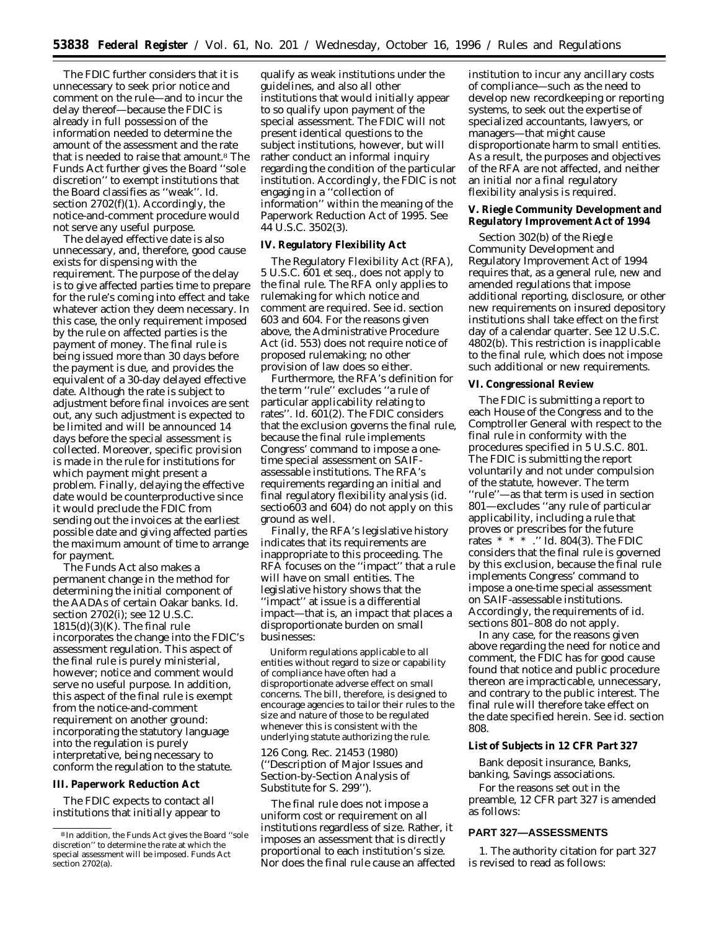The FDIC further considers that it is unnecessary to seek prior notice and comment on the rule—and to incur the delay thereof—because the FDIC is already in full possession of the information needed to determine the amount of the assessment and the rate that is needed to raise that amount.8 The Funds Act further gives the Board ''sole discretion'' to exempt institutions that the Board classifies as ''weak''. *Id.* section  $2702(f)(1)$ . Accordingly, the notice-and-comment procedure would not serve any useful purpose.

The delayed effective date is also unnecessary, and, therefore, good cause exists for dispensing with the requirement. The purpose of the delay is to give affected parties time to prepare for the rule's coming into effect and take whatever action they deem necessary. In this case, the only requirement imposed by the rule on affected parties is the payment of money. The final rule is being issued more than 30 days before the payment is due, and provides the equivalent of a 30-day delayed effective date. Although the rate is subject to adjustment before final invoices are sent out, any such adjustment is expected to be limited and will be announced 14 days before the special assessment is collected. Moreover, specific provision is made in the rule for institutions for which payment might present a problem. Finally, delaying the effective date would be counterproductive since it would preclude the FDIC from sending out the invoices at the earliest possible date and giving affected parties the maximum amount of time to arrange for payment.

The Funds Act also makes a permanent change in the method for determining the initial component of the AADAs of certain Oakar banks. *Id*. section 2702(*i*); *see* 12 U.S.C.  $1815(d)(3)(K)$ . The final rule incorporates the change into the FDIC's assessment regulation. This aspect of the final rule is purely ministerial, however; notice and comment would serve no useful purpose. In addition, this aspect of the final rule is exempt from the notice-and-comment requirement on another ground: incorporating the statutory language into the regulation is purely interpretative, being necessary to conform the regulation to the statute.

## **III. Paperwork Reduction Act**

The FDIC expects to contact all institutions that initially appear to

qualify as weak institutions under the guidelines, and also all other institutions that would initially appear to so qualify upon payment of the special assessment. The FDIC will not present identical questions to the subject institutions, however, but will rather conduct an informal inquiry regarding the condition of the particular institution. Accordingly, the FDIC is not engaging in a ''collection of information'' within the meaning of the Paperwork Reduction Act of 1995. See 44 U.S.C. 3502(3).

## **IV. Regulatory Flexibility Act**

The Regulatory Flexibility Act (RFA), 5 U.S.C. 601 *et seq.,* does not apply to the final rule. The RFA only applies to rulemaking for which notice and comment are required. *See id.* section 603 and 604. For the reasons given above, the Administrative Procedure Act (*id. 553*) does not require notice of proposed rulemaking; no other provision of law does so either.

Furthermore, the RFA's definition for the term ''rule'' excludes ''a rule of particular applicability relating to rates''. *Id.* 601(2). The FDIC considers that the exclusion governs the final rule, because the final rule implements Congress' command to impose a onetime special assessment on SAIFassessable institutions. The RFA's requirements regarding an initial and final regulatory flexibility analysis (*id.* sectio603 and 604) do not apply on this ground as well.

Finally, the RFA's legislative history indicates that its requirements are inappropriate to this proceeding. The RFA focuses on the ''impact'' that a rule will have on small entities. The legislative history shows that the ''impact'' at issue is a differential impact—that is, an impact that places a disproportionate burden on small businesses:

Uniform regulations applicable to all entities without regard to size or capability of compliance have often had a disproportionate adverse effect on small concerns. The bill, therefore, is designed to encourage agencies to tailor their rules to the size and nature of those to be regulated whenever this is consistent with the underlying statute authorizing the rule.

126 Cong. Rec. 21453 (1980) (''Description of Major Issues and Section-by-Section Analysis of Substitute for S. 299'').

The final rule does not impose a uniform cost or requirement on all institutions regardless of size. Rather, it imposes an assessment that is directly proportional to each institution's size. Nor does the final rule cause an affected institution to incur any ancillary costs of compliance—such as the need to develop new recordkeeping or reporting systems, to seek out the expertise of specialized accountants, lawyers, or managers—that might cause disproportionate harm to small entities. As a result, the purposes and objectives of the RFA are not affected, and neither an initial nor a final regulatory flexibility analysis is required.

**V. Riegle Community Development and Regulatory Improvement Act of 1994**

Section 302(b) of the Riegle Community Development and Regulatory Improvement Act of 1994 requires that, as a general rule, new and amended regulations that impose additional reporting, disclosure, or other new requirements on insured depository institutions shall take effect on the first day of a calendar quarter. *See* 12 U.S.C. 4802(b). This restriction is inapplicable to the final rule, which does not impose such additional or new requirements.

## **VI. Congressional Review**

The FDIC is submitting a report to each House of the Congress and to the Comptroller General with respect to the final rule in conformity with the procedures specified in 5 U.S.C. 801. The FDIC is submitting the report voluntarily and not under compulsion of the statute, however. The term ''rule''—as that term is used in section 801—excludes ''any rule of particular applicability, including a rule that proves or prescribes for the future rates \* \* \* .'' *Id.* 804(3). The FDIC considers that the final rule is governed by this exclusion, because the final rule implements Congress' command to impose a one-time special assessment on SAIF-assessable institutions. Accordingly, the requirements of *id.* sections 801–808 do not apply.

In any case, for the reasons given above regarding the need for notice and comment, the FDIC has for good cause found that notice and public procedure thereon are impracticable, unnecessary, and contrary to the public interest. The final rule will therefore take effect on the date specified herein. *See id.* section 808.

# **List of Subjects in 12 CFR Part 327**

Bank deposit insurance, Banks, banking, Savings associations.

For the reasons set out in the preamble, 12 CFR part 327 is amended as follows:

# **PART 327—ASSESSMENTS**

1. The authority citation for part 327 is revised to read as follows:

<sup>8</sup> In addition, the Funds Act gives the Board ''sole discretion'' to determine the rate at which the special assessment will be imposed. Funds Act section 2702(a).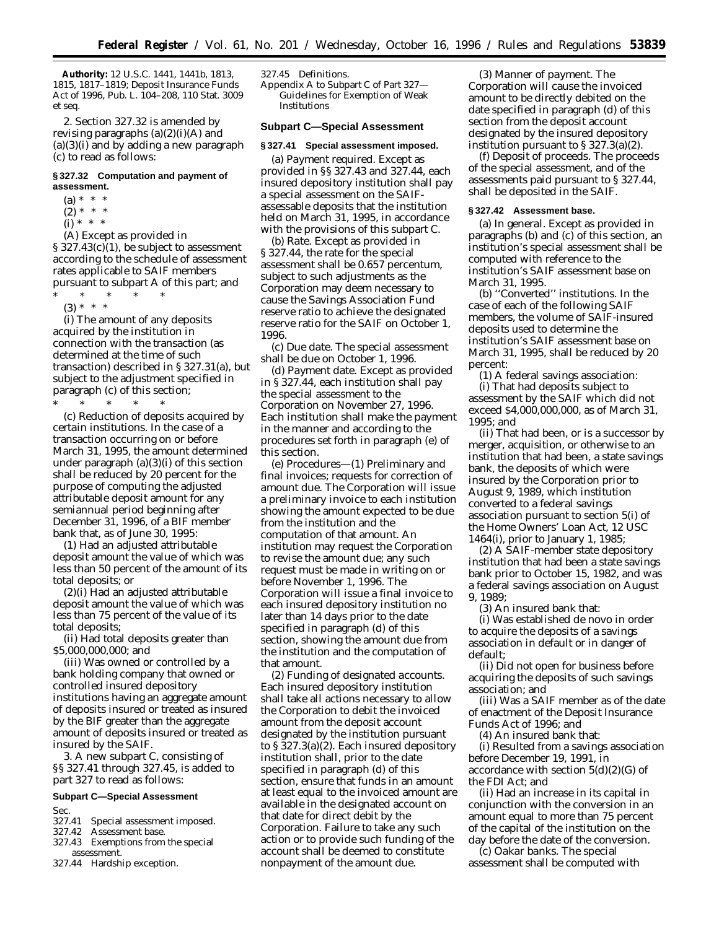**Authority:** 12 U.S.C. 1441, 1441b, 1813, 1815, 1817–1819; Deposit Insurance Funds Act of 1996, Pub. L. 104–208, 110 Stat. 3009 *et seq.*

2. Section 327.32 is amended by revising paragraphs  $(a)(2)(i)(A)$  and  $(a)(3)(i)$  and by adding a new paragraph (c) to read as follows:

## **§ 327.32 Computation and payment of assessment.**

- $(a) * * * *$  $(2) * * * *$
- (i) \* \* \*

(A) Except as provided in § 327.43(c)(1), be subject to assessment according to the schedule of assessment rates applicable to SAIF members pursuant to subpart A of this part; and

- \* \* \* \* \*
	- (3) \* \* \*

(i) The amount of any deposits acquired by the institution in connection with the transaction (as determined at the time of such transaction) described in § 327.31(a), but subject to the adjustment specified in paragraph (c) of this section;

\* \* \* \* \* (c) *Reduction of deposits acquired by certain institutions.* In the case of a transaction occurring on or before March 31, 1995, the amount determined under paragraph (a)(3)(i) of this section shall be reduced by 20 percent for the purpose of computing the adjusted attributable deposit amount for any semiannual period beginning after December 31, 1996, of a BIF member bank that, as of June 30, 1995:

(1) Had an adjusted attributable deposit amount the value of which was less than 50 percent of the amount of its total deposits; or

(2)(i) Had an adjusted attributable deposit amount the value of which was less than 75 percent of the value of its total deposits;

(ii) Had total deposits greater than \$5,000,000,000; and

(iii) Was owned or controlled by a bank holding company that owned or controlled insured depository institutions having an aggregate amount of deposits insured or treated as insured by the BIF greater than the aggregate amount of deposits insured or treated as insured by the SAIF.

3. A new subpart C, consisting of §§ 327.41 through 327.45, is added to part 327 to read as follows:

# **Subpart C—Special Assessment**

Sec.

- 327.41 Special assessment imposed.
- 327.42 Assessment base.
- 327.43 Exemptions from the special assessment.
- 327.44 Hardship exception.

#### 327.45 Definitions.

Appendix A to Subpart C of Part 327— Guidelines for Exemption of Weak Institutions

## **Subpart C—Special Assessment**

#### **§ 327.41 Special assessment imposed.**

(a) *Payment required.* Except as provided in §§ 327.43 and 327.44, each insured depository institution shall pay a special assessment on the SAIFassessable deposits that the institution held on March 31, 1995, in accordance with the provisions of this subpart C.

(b) *Rate.* Except as provided in § 327.44, the rate for the special assessment shall be 0.657 percentum, subject to such adjustments as the Corporation may deem necessary to cause the Savings Association Fund reserve ratio to achieve the designated reserve ratio for the SAIF on October 1, 1996.

(c) *Due date.* The special assessment shall be due on October 1, 1996.

(d) *Payment date.* Except as provided in § 327.44, each institution shall pay the special assessment to the Corporation on November 27, 1996. Each institution shall make the payment in the manner and according to the procedures set forth in paragraph (e) of this section.

(e) *Procedures—*(1) *Preliminary and final invoices; requests for correction of amount due.* The Corporation will issue a preliminary invoice to each institution showing the amount expected to be due from the institution and the computation of that amount. An institution may request the Corporation to revise the amount due; any such request must be made in writing on or before November 1, 1996. The Corporation will issue a final invoice to each insured depository institution no later than 14 days prior to the date specified in paragraph (d) of this section, showing the amount due from the institution and the computation of that amount.

(2) *Funding of designated accounts.* Each insured depository institution shall take all actions necessary to allow the Corporation to debit the invoiced amount from the deposit account designated by the institution pursuant to § 327.3(a)(2). Each insured depository institution shall, prior to the date specified in paragraph (d) of this section, ensure that funds in an amount at least equal to the invoiced amount are available in the designated account on that date for direct debit by the Corporation. Failure to take any such action or to provide such funding of the account shall be deemed to constitute nonpayment of the amount due.

(3) *Manner of payment.* The Corporation will cause the invoiced amount to be directly debited on the date specified in paragraph (d) of this section from the deposit account designated by the insured depository institution pursuant to § 327.3(a)(2).

(f) *Deposit of proceeds.* The proceeds of the special assessment, and of the assessments paid pursuant to § 327.44, shall be deposited in the SAIF.

## **§ 327.42 Assessment base.**

(a) *In general.* Except as provided in paragraphs (b) and (c) of this section, an institution's special assessment shall be computed with reference to the institution's SAIF assessment base on March 31, 1995.

(b) *''Converted'' institutions.* In the case of each of the following SAIF members, the volume of SAIF-insured deposits used to determine the institution's SAIF assessment base on March 31, 1995, shall be reduced by 20 percent:

(1) A federal savings association: (i) That had deposits subject to assessment by the SAIF which did not exceed \$4,000,000,000, as of March 31, 1995; and

(ii) That had been, or is a successor by merger, acquisition, or otherwise to an institution that had been, a state savings bank, the deposits of which were insured by the Corporation prior to August 9, 1989, which institution converted to a federal savings association pursuant to section 5(*i*) of the Home Owners' Loan Act, 12 USC 1464(*i*), prior to January 1, 1985;

(2) A SAIF-member state depository institution that had been a state savings bank prior to October 15, 1982, and was a federal savings association on August 9, 1989;

(3) An insured bank that:

(i) Was established de novo in order to acquire the deposits of a savings association in default or in danger of default;

(ii) Did not open for business before acquiring the deposits of such savings association; and

(iii) Was a SAIF member as of the date of enactment of the Deposit Insurance Funds Act of 1996; and

(4) An insured bank that:

(i) Resulted from a savings association before December 19, 1991, in accordance with section  $5(d)(2)(G)$  of the FDI Act; and

(ii) Had an increase in its capital in conjunction with the conversion in an amount equal to more than 75 percent of the capital of the institution on the day before the date of the conversion.

(c) *Oakar banks.* The special assessment shall be computed with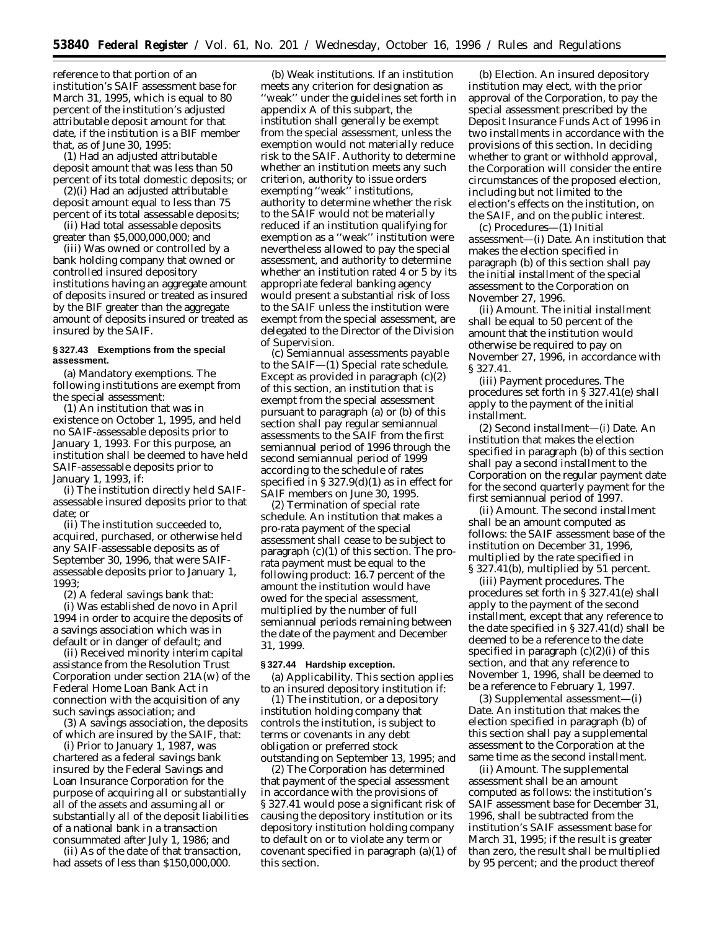reference to that portion of an institution's SAIF assessment base for March 31, 1995, which is equal to 80 percent of the institution's adjusted attributable deposit amount for that date, if the institution is a BIF member that, as of June 30, 1995:

(1) Had an adjusted attributable deposit amount that was less than 50 percent of its total domestic deposits; or

(2)(i) Had an adjusted attributable deposit amount equal to less than 75 percent of its total assessable deposits;

(ii) Had total assessable deposits greater than \$5,000,000,000; and

(iii) Was owned or controlled by a bank holding company that owned or controlled insured depository institutions having an aggregate amount of deposits insured or treated as insured by the BIF greater than the aggregate amount of deposits insured or treated as insured by the SAIF.

## **§ 327.43 Exemptions from the special assessment.**

(a) *Mandatory exemptions.* The following institutions are exempt from the special assessment:

(1) An institution that was in existence on October 1, 1995, and held no SAIF-assessable deposits prior to January 1, 1993. For this purpose, an institution shall be deemed to have held SAIF-assessable deposits prior to January 1, 1993, if:

(i) The institution directly held SAIFassessable insured deposits prior to that date; or

(ii) The institution succeeded to, acquired, purchased, or otherwise held any SAIF-assessable deposits as of September 30, 1996, that were SAIFassessable deposits prior to January 1, 1993;

(2) A federal savings bank that:

(i) Was established de novo in April 1994 in order to acquire the deposits of a savings association which was in default or in danger of default; and

(ii) Received minority interim capital assistance from the Resolution Trust Corporation under section 21A(w) of the Federal Home Loan Bank Act in connection with the acquisition of any such savings association; and

(3) A savings association, the deposits of which are insured by the SAIF, that:

(i) Prior to January 1, 1987, was chartered as a federal savings bank insured by the Federal Savings and Loan Insurance Corporation for the purpose of acquiring all or substantially all of the assets and assuming all or substantially all of the deposit liabilities of a national bank in a transaction consummated after July 1, 1986; and

(ii) As of the date of that transaction, had assets of less than \$150,000,000.

(b) *Weak institutions.* If an institution meets any criterion for designation as ''weak'' under the guidelines set forth in appendix A of this subpart, the institution shall generally be exempt from the special assessment, unless the exemption would not materially reduce risk to the SAIF. Authority to determine whether an institution meets any such criterion, authority to issue orders exempting ''weak'' institutions, authority to determine whether the risk to the SAIF would not be materially reduced if an institution qualifying for exemption as a ''weak'' institution were nevertheless allowed to pay the special assessment, and authority to determine whether an institution rated 4 or 5 by its appropriate federal banking agency would present a substantial risk of loss to the SAIF unless the institution were exempt from the special assessment, are delegated to the Director of the Division of Supervision.

(c) *Semiannual assessments payable to the SAIF—*(1) *Special rate schedule.* Except as provided in paragraph  $(c)(2)$ of this section, an institution that is exempt from the special assessment pursuant to paragraph (a) or (b) of this section shall pay regular semiannual assessments to the SAIF from the first semiannual period of 1996 through the second semiannual period of 1999 according to the schedule of rates specified in § 327.9(d)(1) as in effect for SAIF members on June 30, 1995.

(2) *Termination of special rate schedule.* An institution that makes a pro-rata payment of the special assessment shall cease to be subject to paragraph (c)(1) of this section. The prorata payment must be equal to the following product: 16.7 percent of the amount the institution would have owed for the special assessment, multiplied by the number of full semiannual periods remaining between the date of the payment and December 31, 1999.

#### **§ 327.44 Hardship exception.**

(a) *Applicability.* This section applies to an insured depository institution if:

(1) The institution, or a depository institution holding company that controls the institution, is subject to terms or covenants in any debt obligation or preferred stock outstanding on September 13, 1995; and

(2) The Corporation has determined that payment of the special assessment in accordance with the provisions of § 327.41 would pose a significant risk of causing the depository institution or its depository institution holding company to default on or to violate any term or covenant specified in paragraph (a)(1) of this section.

(b) *Election.* An insured depository institution may elect, with the prior approval of the Corporation, to pay the special assessment prescribed by the Deposit Insurance Funds Act of 1996 in two installments in accordance with the provisions of this section. In deciding whether to grant or withhold approval, the Corporation will consider the entire circumstances of the proposed election, including but not limited to the election's effects on the institution, on the SAIF, and on the public interest.

(c) *Procedures—*(1) *Initial assessment—*(i) *Date.* An institution that makes the election specified in paragraph (b) of this section shall pay the initial installment of the special assessment to the Corporation on November 27, 1996.

(ii) *Amount.* The initial installment shall be equal to 50 percent of the amount that the institution would otherwise be required to pay on November 27, 1996, in accordance with § 327.41.

(iii) *Payment procedures.* The procedures set forth in § 327.41(e) shall apply to the payment of the initial installment.

(2) *Second installment—*(i) *Date.* An institution that makes the election specified in paragraph (b) of this section shall pay a second installment to the Corporation on the regular payment date for the second quarterly payment for the first semiannual period of 1997.

(ii) *Amount.* The second installment shall be an amount computed as follows: the SAIF assessment base of the institution on December 31, 1996, multiplied by the rate specified in § 327.41(b), multiplied by 51 percent.

(iii) *Payment procedures.* The procedures set forth in § 327.41(e) shall apply to the payment of the second installment, except that any reference to the date specified in § 327.41(d) shall be deemed to be a reference to the date specified in paragraph  $(c)(2)(i)$  of this section, and that any reference to November 1, 1996, shall be deemed to be a reference to February 1, 1997.

(3) *Supplemental assessment—*(i) *Date.* An institution that makes the election specified in paragraph (b) of this section shall pay a supplemental assessment to the Corporation at the same time as the second installment.

(ii) *Amount.* The supplemental assessment shall be an amount computed as follows: the institution's SAIF assessment base for December 31, 1996, shall be subtracted from the institution's SAIF assessment base for March 31, 1995; if the result is greater than zero, the result shall be multiplied by 95 percent; and the product thereof